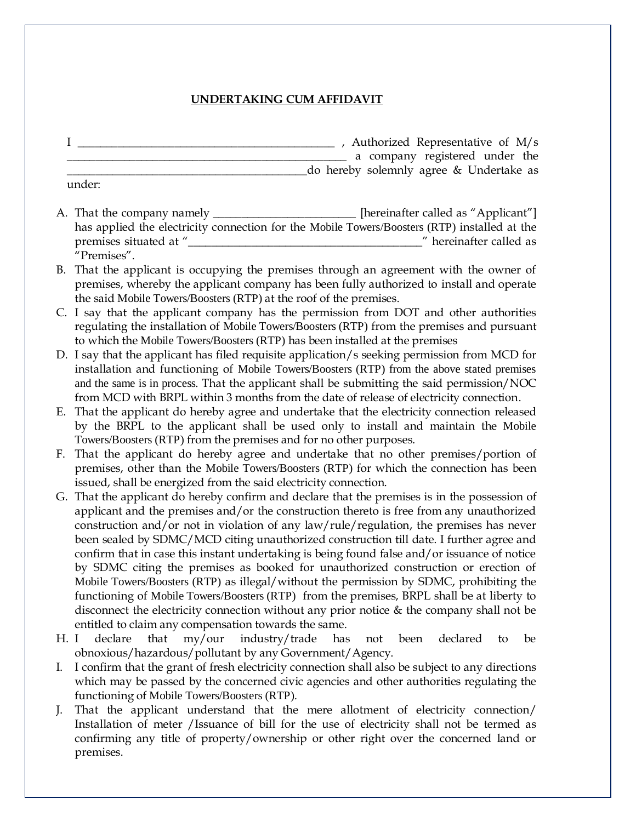## **UNDERTAKING CUM AFFIDAVIT**

- I \_\_\_\_\_\_\_\_\_\_\_\_\_\_\_\_\_\_\_\_\_\_\_\_\_\_\_\_\_\_\_\_\_\_\_\_\_\_\_\_\_\_\_\_\_ , Authorized Representative of M/s \_\_\_\_\_\_\_\_\_\_\_\_\_\_\_\_\_\_\_\_\_\_\_\_\_\_\_\_\_\_\_\_\_\_\_\_\_\_\_\_\_\_\_\_\_\_\_\_\_ a company registered under the \_\_\_\_\_\_\_\_\_\_\_\_\_\_\_\_\_\_\_\_\_\_\_\_\_\_\_\_\_\_\_\_\_\_\_\_\_\_\_\_\_\_do hereby solemnly agree & Undertake as under:
- A. That the company namely \_\_\_\_\_\_\_\_\_\_\_\_\_\_\_\_\_\_\_\_\_\_\_\_ [hereinafter called as "Applicant"] has applied the electricity connection for the Mobile Towers/Boosters (RTP) installed at the premises situated at "\_\_\_\_\_\_\_\_\_\_\_\_\_\_\_\_\_\_\_\_\_\_\_\_\_\_\_\_\_\_\_\_\_\_\_\_\_\_\_\_\_" hereinafter called as "Premises".
- B. That the applicant is occupying the premises through an agreement with the owner of premises, whereby the applicant company has been fully authorized to install and operate the said Mobile Towers/Boosters (RTP) at the roof of the premises.
- C. I say that the applicant company has the permission from DOT and other authorities regulating the installation of Mobile Towers/Boosters (RTP) from the premises and pursuant to which the Mobile Towers/Boosters (RTP) has been installed at the premises
- D. I say that the applicant has filed requisite application/s seeking permission from MCD for installation and functioning of Mobile Towers/Boosters (RTP) from the above stated premises and the same is in process. That the applicant shall be submitting the said permission/NOC from MCD with BRPL within 3 months from the date of release of electricity connection.
- E. That the applicant do hereby agree and undertake that the electricity connection released by the BRPL to the applicant shall be used only to install and maintain the Mobile Towers/Boosters (RTP) from the premises and for no other purposes.
- F. That the applicant do hereby agree and undertake that no other premises/portion of premises, other than the Mobile Towers/Boosters (RTP) for which the connection has been issued, shall be energized from the said electricity connection.
- G. That the applicant do hereby confirm and declare that the premises is in the possession of applicant and the premises and/or the construction thereto is free from any unauthorized construction and/or not in violation of any law/rule/regulation, the premises has never been sealed by SDMC/MCD citing unauthorized construction till date. I further agree and confirm that in case this instant undertaking is being found false and/or issuance of notice by SDMC citing the premises as booked for unauthorized construction or erection of Mobile Towers/Boosters (RTP) as illegal/without the permission by SDMC, prohibiting the functioning of Mobile Towers/Boosters (RTP) from the premises, BRPL shall be at liberty to disconnect the electricity connection without any prior notice & the company shall not be entitled to claim any compensation towards the same.
- H. I declare that my/our industry/trade has not been declared to be obnoxious/hazardous/pollutant by any Government/Agency.
- I. I confirm that the grant of fresh electricity connection shall also be subject to any directions which may be passed by the concerned civic agencies and other authorities regulating the functioning of Mobile Towers/Boosters (RTP).
- J. That the applicant understand that the mere allotment of electricity connection/ Installation of meter /Issuance of bill for the use of electricity shall not be termed as confirming any title of property/ownership or other right over the concerned land or premises.